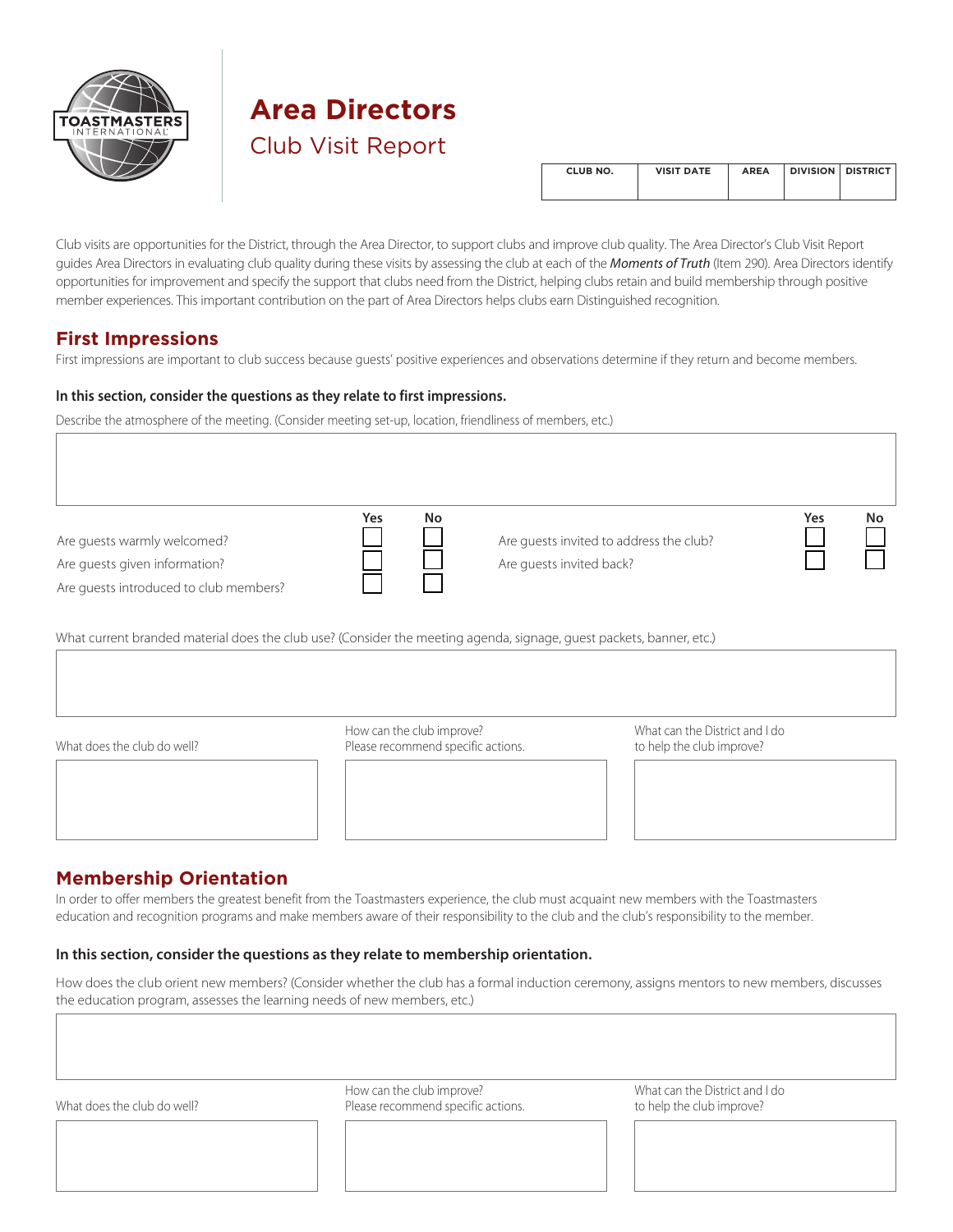

# **Area Directors**

Club Visit Report

| CLUB NO. | <b>VISIT DATE</b> | <b>AREA</b> | <b>DIVISION DISTRICT</b> |
|----------|-------------------|-------------|--------------------------|
|          |                   |             |                          |

Club visits are opportunities for the District, through the Area Director, to support clubs and improve club quality. The Area Director's Club Visit Report guides Area Directors in evaluating club quality during these visits by assessing the club at each of the *[Moments of Truth](http://www.toastmasters.org/MomentsofTruth)* (Item 290). Area Directors identify opportunities for improvement and specify the support that clubs need from the District, helping clubs retain and build membership through positive member experiences. This important contribution on the part of Area Directors helps clubs earn Distinguished recognition.

# **First Impressions**

First impressions are important to club success because guests' positive experiences and observations determine if they return and become members.

### **In this section, consider the questions as they relate to first impressions.**

Describe the atmosphere of the meeting. (Consider meeting set-up, location, friendliness of members, etc.)

Are guests warmly welcomed? Are guests given information?

Are guests introduced to club members?

П

Are guests invited to address the club? Are guests invited back?

| 'es<br>٧ | No |
|----------|----|
|          |    |
|          |    |

What current branded material does the club use? (Consider the meeting agenda, signage, guest packets, banner, etc.)

**Yes No**



How can the club improve? What can the District and I do What does the club do well? **Please recommend specific actions**. The to help the club improve?



# **Membership Orientation**

In order to offer members the greatest benefit from the Toastmasters experience, the club must acquaint new members with the Toastmasters education and recognition programs and make members aware of their responsibility to the club and the club's responsibility to the member.

## **In this section, consider the questions as they relate to membership orientation.**

How does the club orient new members? (Consider whether the club has a formal induction ceremony, assigns mentors to new members, discusses the education program, assesses the learning needs of new members, etc.)

| What does the club do well? | How can the club improve?<br>Please recommend specific actions. | What can the District and I do<br>to help the club improve? |  |
|-----------------------------|-----------------------------------------------------------------|-------------------------------------------------------------|--|
|                             |                                                                 |                                                             |  |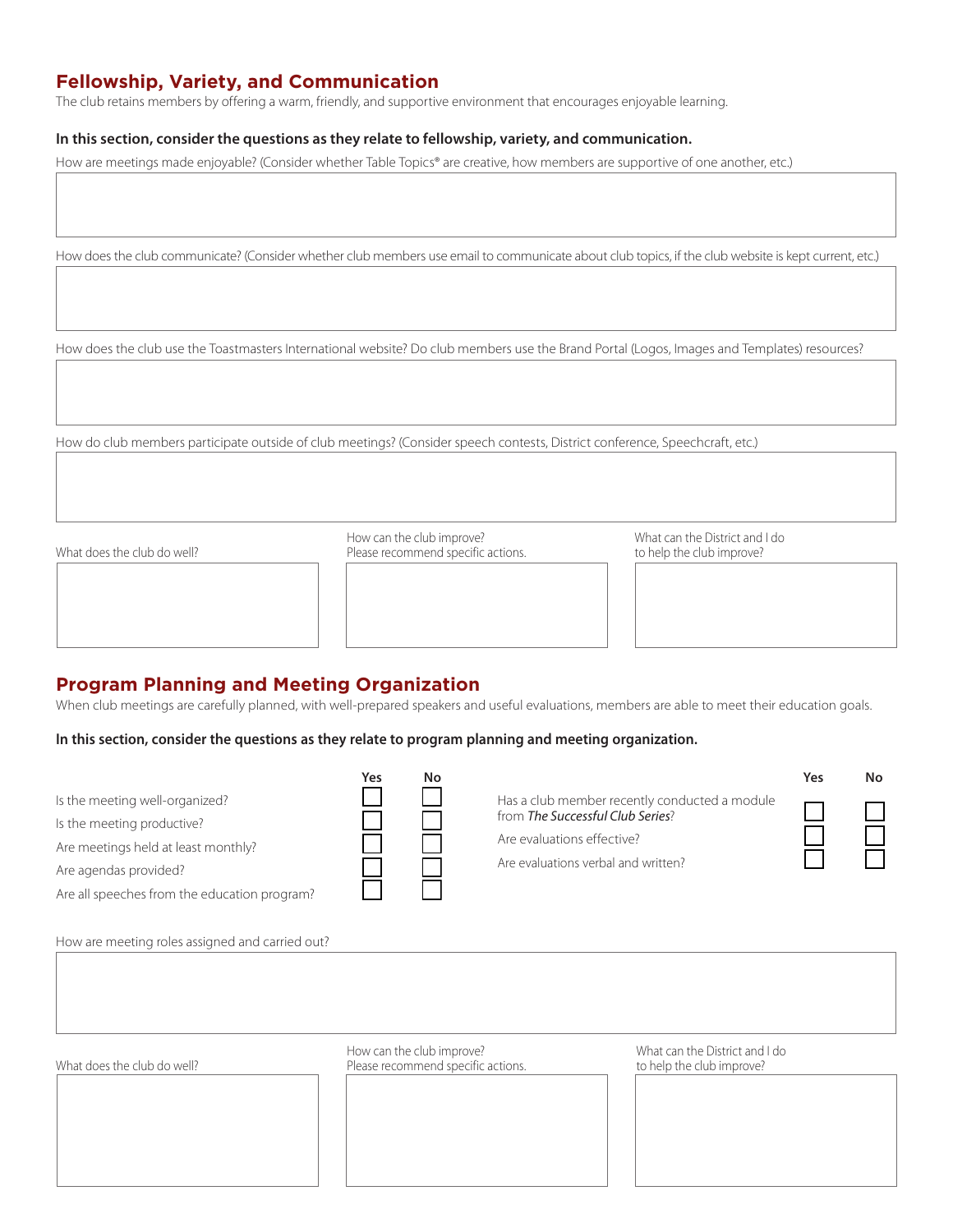# **Fellowship, Variety, and Communication**

The club retains members by offering a warm, friendly, and supportive environment that encourages enjoyable learning.

#### **In this section, consider the questions as they relate to fellowship, variety, and communication.**

How are meetings made enjoyable? (Consider whether Table Topics® are creative, how members are supportive of one another, etc.)

How does the club communicate? (Consider whether club members use email to communicate about club topics, if the club website is kept current, etc.)

How does the club use the Toastmasters International website? Do club members use the Brand Portal (Logos, Images and Templates) resources?

How do club members participate outside of club meetings? (Consider speech contests, District conference, Speechcraft, etc.)

How can the club improve? What can the District and I do What does the club do well? **Please recommend specific actions**. The to help the club improve?

## **Program Planning and Meeting Organization**

When club meetings are carefully planned, with well-prepared speakers and useful evaluations, members are able to meet their education goals.

#### **In this section, consider the questions as they relate to program planning and meeting organization.**

**Yes No**

Is the meeting well-organized?

Is the meeting productive?

Are meetings held at least monthly?

Are agendas provided?

Are all speeches from the education program?

How are meeting roles assigned and carried out?

|                                                                                           | Υρς | Nο           |
|-------------------------------------------------------------------------------------------|-----|--------------|
| Has a club member recently conducted a module<br>from <b>The Successful Club Series</b> ? |     | $\mathbf{I}$ |
| Are evaluations effective?                                                                |     |              |
| Are evaluations verbal and written?                                                       |     | $\mathbf{I}$ |
|                                                                                           |     |              |

How can the club improve? What can the District and I do What does the club do well? **Please recommend specific actions**. The club improve?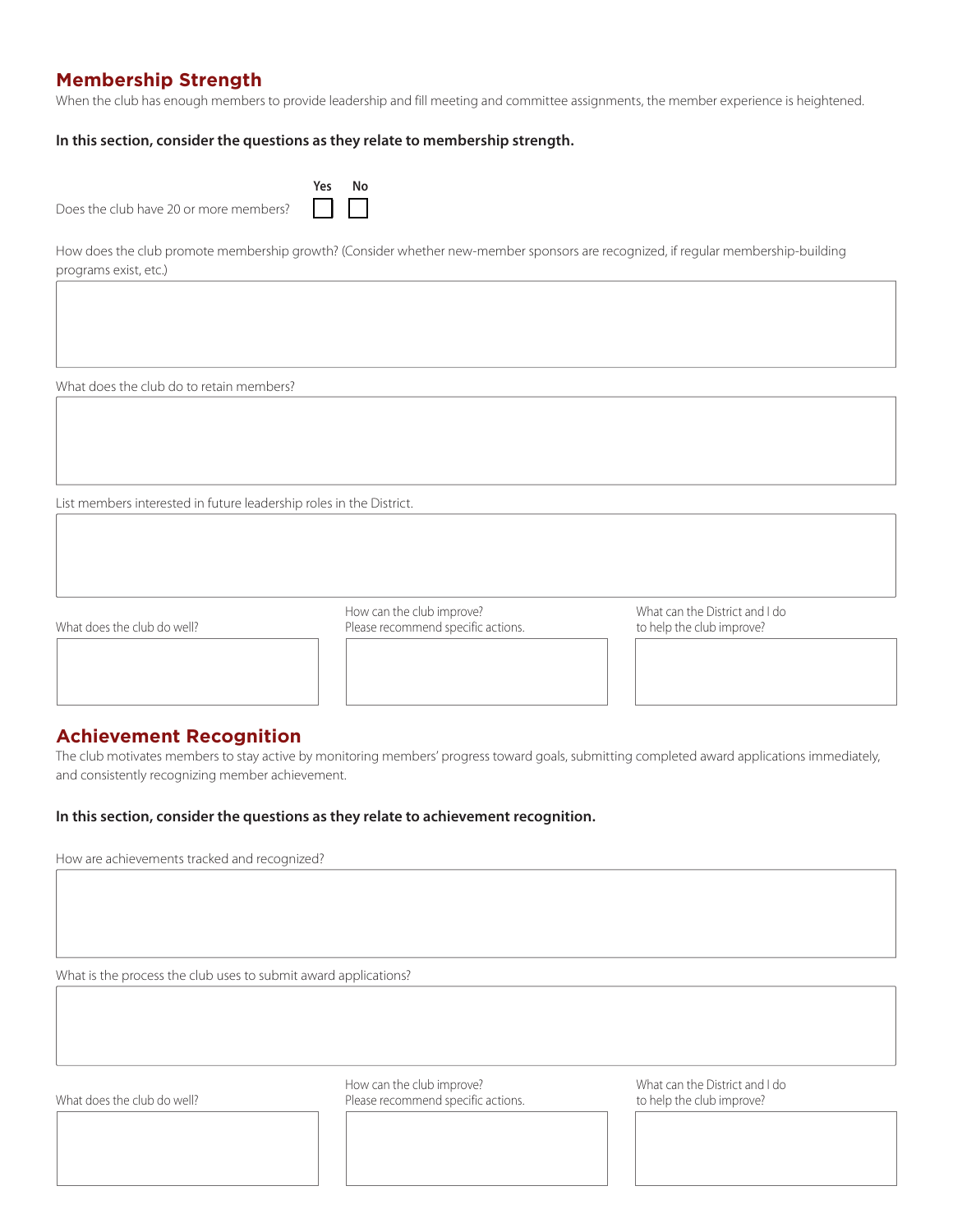# **Membership Strength**

When the club has enough members to provide leadership and fill meeting and committee assignments, the member experience is heightened.

#### **In this section, consider the questions as they relate to membership strength.**

|                                        | Yes No |  |
|----------------------------------------|--------|--|
| Does the club have 20 or more members? |        |  |

How does the club promote membership growth? (Consider whether new-member sponsors are recognized, if regular membership-building programs exist, etc.)

What does the club do to retain members?

List members interested in future leadership roles in the District.

How can the club improve? What can the District and I do What does the club do well? **Please recommend specific actions**. The to help the club improve?

## **Achievement Recognition**

The club motivates members to stay active by monitoring members' progress toward goals, submitting completed award applications immediately, and consistently recognizing member achievement.

#### **In this section, consider the questions as they relate to achievement recognition.**

How are achievements tracked and recognized?

What is the process the club uses to submit award applications?

How can the club improve? What can the District and I do What does the club do well? **Please recommend specific actions**. The to help the club improve?